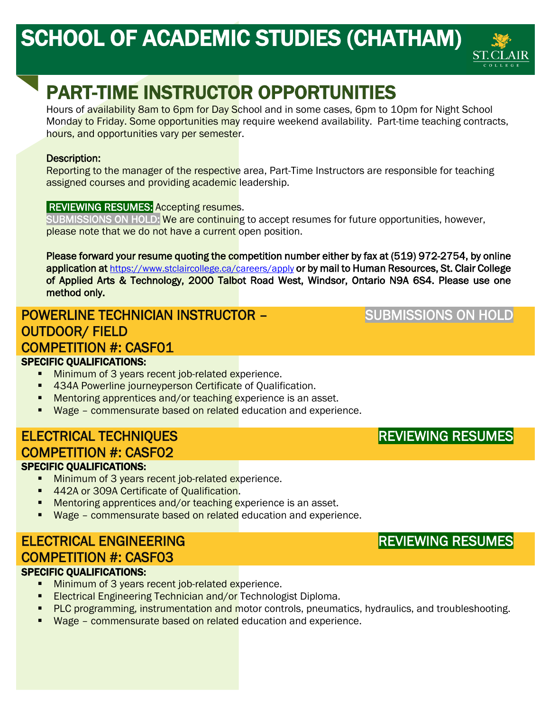# SCHOOL OF ACADEMIC STUDIES (CHATHAM)



# PART-TIME INSTRUCTOR OPPORTUNITIES

Hours of availability 8am to 6pm for Day School and in some cases, 6pm to 10pm for Night School Monday to Friday. Some opportunities may require weekend availability. Part-time teaching contracts, hours, and opportunities vary per semester.

#### Description:

Reporting to the manager of the respective area, Part-Time Instructors are responsible for teaching assigned courses and providing academic leadership.

#### **REVIEWING RESUMES:** Accepting resumes.

SUBMISSIONS ON HOLD: We are continuing to accept resumes for future opportunities, however, please note that we do not have a current open position.

Please forward your resume quoting the competition number either by fax at (519) 972-2754, by online application at [https://www.stclaircollege.ca/careers/apply o](https://www.stclaircollege.ca/careers/apply)r by mail to Human Resources, St. Clair College of Applied Arts & Technology, 2000 Talbot Road West, Windsor, Ontario N9A 6S4. Please use one method only.

#### POWERLINE TECHNICIAN INSTRUCTOR – OUTDOOR/ FIELD j ý

#### COMPETITION #: CASF01

#### SPECIFIC QUALIFICATIONS:

- Minimum of 3 years recent job-related experience.
- 434A Powerline journeyperson Certificate of Qualification.
- **Mentoring apprentices and/or teaching experience is an asset.**
- Wage commensurate based on related education and experience.

## ELECTRICAL TECHNIQUES COMPETITION #: CASF02

#### SPECIFIC QUALIFICATIONS:

- **Minimum of 3 years recent job-related experience.**
- 442A or 309A Certificate of Qualification.
- **Mentoring apprentices and/or teaching experience is an asset.**
- Wage commensurate based on related education and experience.

#### ELECTRICAL ENGINEERING COMPETITION #: CASF03 SPECIFIC QUALIFICATIONS:

- **Minimum of 3 years recent job-related experience.**
- **Electrical Engineering Technician and/or Technologist Diploma.**
- **PLC programming, instrumentation and motor controls, pneumatics, hydraulics, and troubleshooting.**
- Wage commensurate based on related education and experience.

## REVIEWING RESUMES

REVIEWING RESUMES

## SUBMISSIONS ON HOLD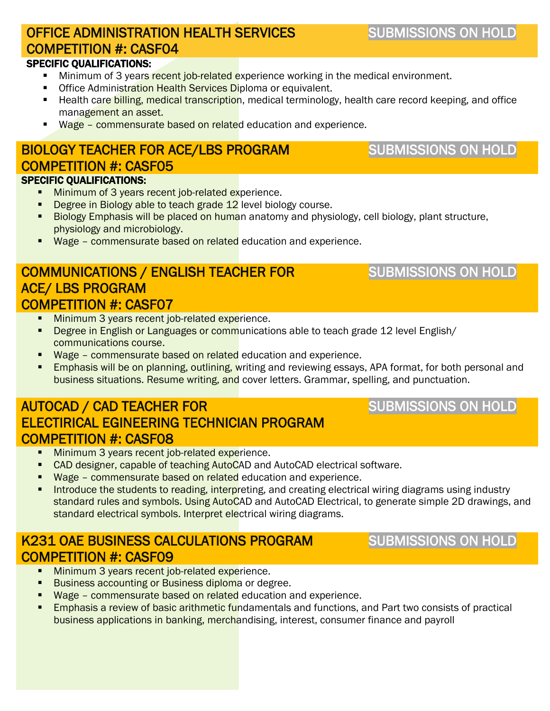# OFFICE ADMINISTRATION HEALTH SERVICES COMPETITION #: CASF04

#### SPECIFIC QUALIFICATIONS:

- Minimum of 3 years recent job-related experience working in the medical environment.
- **Office Administration Health Services Diploma or equivalent.**
- **Health care billing, medical transcription**, medical terminology, health care record keeping, and office management an asset.
- Wage commensurate based on related education and experience.

#### BIOLOGY TEACHER FOR ACE/LBS PROGRAM COMPETITION #: CASF05 SPECIFIC QUALIFICATIONS:

- **Minimum of 3 years recent job-related experience.**
- Degree in Biology able to teach grade 12 level biology course.
- **Biology Emphasis will be placed on huma**n anatomy and physiology, cell biology, plant structure, physiology and microbiology.
- **Wage commensurate based on related** education and experience.

#### COMMUNICATIONS / ENGLISH TEACHER FOR ACE/ LBS PROGRAM COMPETITION #: CASF07

- **Minimum 3 years recent job-related experience.**
- **Degree in English or Languages or communications able to teach grade 12 level English/** communications course.
- **Wage commensurate based on related** education and experience.
- **Emphasis will be on planning, outlining, writing and reviewing essays, APA format, for both personal and** business situations. Resume writing, and cover letters. Grammar, spelling, and punctuation.

#### AUTOCAD / CAD TEACHER FOR ELECTIRICAL EGINEERING TECHNICIAN PROGRAM COMPETITION #: CASF08

- **Minimum 3 years recent job-related experience.**
- CAD designer, capable of teaching AutoCAD and AutoCAD electrical software.
- Wage commensurate based on related education and experience.
- Introduce the students to reading, interpreting, and creating electrical wiring diagrams using industry standard rules and symbols. Using AutoCAD and AutoCAD Electrical, to generate simple 2D drawings, and standard electrical symbols. Interpret electrical wiring diagrams.

#### K231 OAE BUSINESS CALCULATIONS PROGRAM COMPETITION #: CASF09

- **Minimum 3 years recent job-related experience.**
- **Business accounting or Business diploma or degree.**
- Wage commensurate based on related education and experience.
- **Emphasis a review of basic arithmetic fundamentals and functions, and Part two consists of practical** business applications in banking, merchandising, interest, consumer finance and payroll

# SUBMISSIONS ON HOLD

# SUBMISSIONS ON HOLD

SUBMISSIONS ON HOLD

# SUBMISSIONS ON HOLD

# SUBMISSIONS ON HOLD